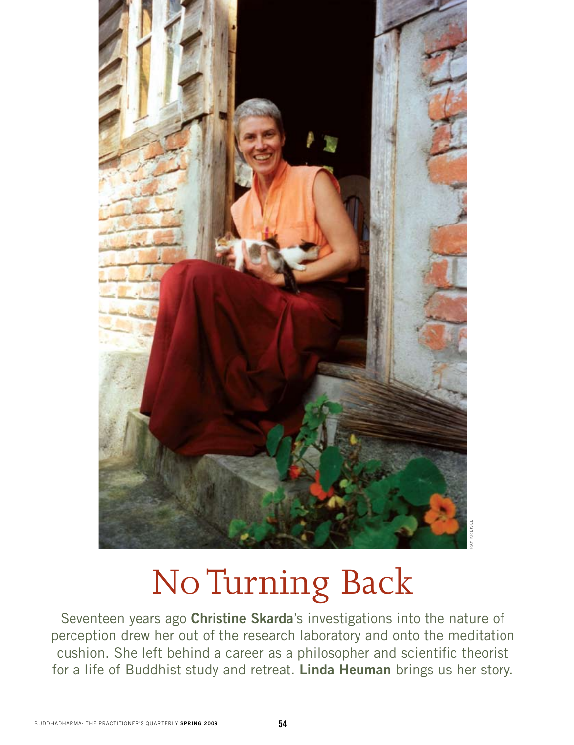

## No Turning Back

Seventeen years ago **Christine Skarda**'s investigations into the nature of perception drew her out of the research laboratory and onto the meditation cushion. She left behind a career as a philosopher and scientific theorist For a life of Buddhist study and retreat. **Linda Heuman** brings us her story.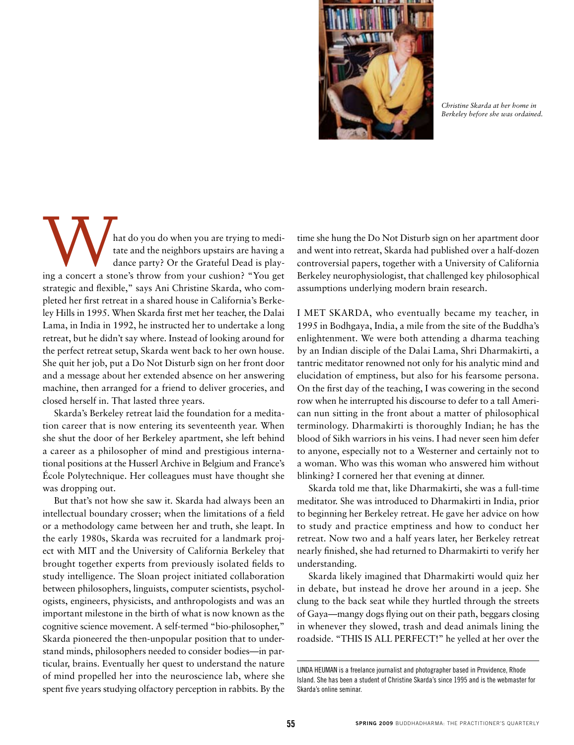

*Christine Skarda at her home in Berkeley before she was ordained.*

hat do you do when you are trying to meditate and the neighbors upstairs are having a dance party? Or the Grateful Dead is playing a concert a stone's throw from your cushion? "You get tate and the neighbors upstairs are having a dance party? Or the Grateful Dead is playstrategic and flexible," says Ani Christine Skarda, who completed her first retreat in a shared house in California's Berkeley Hills in 1995. When Skarda first met her teacher, the Dalai Lama, in India in 1992, he instructed her to undertake a long retreat, but he didn't say where. Instead of looking around for the perfect retreat setup, Skarda went back to her own house. She quit her job, put a Do Not Disturb sign on her front door and a message about her extended absence on her answering machine, then arranged for a friend to deliver groceries, and closed herself in. That lasted three years.

Skarda's Berkeley retreat laid the foundation for a meditation career that is now entering its seventeenth year. When she shut the door of her Berkeley apartment, she left behind a career as a philosopher of mind and prestigious international positions at the Husserl Archive in Belgium and France's École Polytechnique. Her colleagues must have thought she was dropping out.

But that's not how she saw it. Skarda had always been an intellectual boundary crosser; when the limitations of a field or a methodology came between her and truth, she leapt. In the early 1980s, Skarda was recruited for a landmark project with MIT and the University of California Berkeley that brought together experts from previously isolated fields to study intelligence. The Sloan project initiated collaboration between philosophers, linguists, computer scientists, psychologists, engineers, physicists, and anthropologists and was an important milestone in the birth of what is now known as the cognitive science movement. A self-termed "bio-philosopher," Skarda pioneered the then-unpopular position that to understand minds, philosophers needed to consider bodies—in particular, brains. Eventually her quest to understand the nature of mind propelled her into the neuroscience lab, where she spent five years studying olfactory perception in rabbits. By the

time she hung the Do Not Disturb sign on her apartment door and went into retreat, Skarda had published over a half-dozen controversial papers, together with a University of California Berkeley neurophysiologist, that challenged key philosophical assumptions underlying modern brain research.

I MET SKARDA, who eventually became my teacher, in 1995 in Bodhgaya, India, a mile from the site of the Buddha's enlightenment. We were both attending a dharma teaching by an Indian disciple of the Dalai Lama, Shri Dharmakirti, a tantric meditator renowned not only for his analytic mind and elucidation of emptiness, but also for his fearsome persona. On the first day of the teaching, I was cowering in the second row when he interrupted his discourse to defer to a tall American nun sitting in the front about a matter of philosophical terminology. Dharmakirti is thoroughly Indian; he has the blood of Sikh warriors in his veins. I had never seen him defer to anyone, especially not to a Westerner and certainly not to a woman. Who was this woman who answered him without blinking? I cornered her that evening at dinner.

Skarda told me that, like Dharmakirti, she was a full-time meditator. She was introduced to Dharmakirti in India, prior to beginning her Berkeley retreat. He gave her advice on how to study and practice emptiness and how to conduct her retreat. Now two and a half years later, her Berkeley retreat nearly finished, she had returned to Dharmakirti to verify her understanding.

Skarda likely imagined that Dharmakirti would quiz her in debate, but instead he drove her around in a jeep. She clung to the back seat while they hurtled through the streets of Gaya—mangy dogs flying out on their path, beggars closing in whenever they slowed, trash and dead animals lining the roadside. "THIS IS ALL PERFECT!" he yelled at her over the

Linda Heuman is a freelance journalist and photographer based in Providence, Rhode Island. She has been a student of Christine Skarda's since 1995 and is the webmaster for Skarda's online seminar.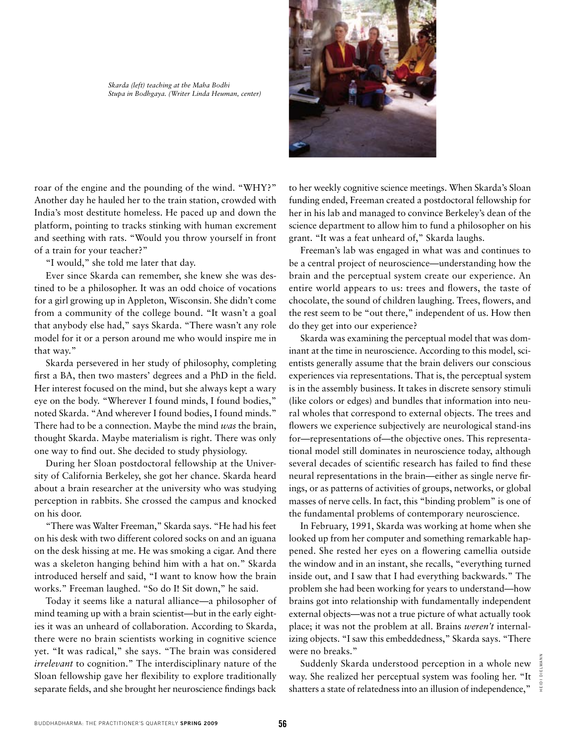*Skarda (left) teaching at the Maha Bodhi Stupa in Bodhgaya. (Writer Linda Heuman, center)*



roar of the engine and the pounding of the wind. "WHY?" Another day he hauled her to the train station, crowded with India's most destitute homeless. He paced up and down the platform, pointing to tracks stinking with human excrement and seething with rats. "Would you throw yourself in front of a train for your teacher?"

"I would," she told me later that day.

Ever since Skarda can remember, she knew she was destined to be a philosopher. It was an odd choice of vocations for a girl growing up in Appleton, Wisconsin. She didn't come from a community of the college bound. "It wasn't a goal that anybody else had," says Skarda. "There wasn't any role model for it or a person around me who would inspire me in that way."

Skarda persevered in her study of philosophy, completing first a BA, then two masters' degrees and a PhD in the field. Her interest focused on the mind, but she always kept a wary eye on the body. "Wherever I found minds, I found bodies," noted Skarda. "And wherever I found bodies, I found minds." There had to be a connection. Maybe the mind *was* the brain, thought Skarda. Maybe materialism is right. There was only one way to find out. She decided to study physiology.

During her Sloan postdoctoral fellowship at the University of California Berkeley, she got her chance. Skarda heard about a brain researcher at the university who was studying perception in rabbits. She crossed the campus and knocked on his door.

"There was Walter Freeman," Skarda says. "He had his feet on his desk with two different colored socks on and an iguana on the desk hissing at me. He was smoking a cigar. And there was a skeleton hanging behind him with a hat on." Skarda introduced herself and said, "I want to know how the brain works." Freeman laughed. "So do I! Sit down," he said.

Today it seems like a natural alliance—a philosopher of mind teaming up with a brain scientist—but in the early eighties it was an unheard of collaboration. According to Skarda, there were no brain scientists working in cognitive science yet. "It was radical," she says. "The brain was considered *irrelevant* to cognition." The interdisciplinary nature of the Sloan fellowship gave her flexibility to explore traditionally separate fields, and she brought her neuroscience findings back to her weekly cognitive science meetings. When Skarda's Sloan funding ended, Freeman created a postdoctoral fellowship for her in his lab and managed to convince Berkeley's dean of the science department to allow him to fund a philosopher on his grant. "It was a feat unheard of," Skarda laughs.

Freeman's lab was engaged in what was and continues to be a central project of neuroscience—understanding how the brain and the perceptual system create our experience. An entire world appears to us: trees and flowers, the taste of chocolate, the sound of children laughing. Trees, flowers, and the rest seem to be "out there," independent of us. How then do they get into our experience?

Skarda was examining the perceptual model that was dominant at the time in neuroscience. According to this model, scientists generally assume that the brain delivers our conscious experiences via representations. That is, the perceptual system is in the assembly business. It takes in discrete sensory stimuli (like colors or edges) and bundles that information into neural wholes that correspond to external objects. The trees and flowers we experience subjectively are neurological stand-ins for—representations of—the objective ones. This representational model still dominates in neuroscience today, although several decades of scientific research has failed to find these neural representations in the brain—either as single nerve firings, or as patterns of activities of groups, networks, or global masses of nerve cells. In fact, this "binding problem" is one of the fundamental problems of contemporary neuroscience.

In February, 1991, Skarda was working at home when she looked up from her computer and something remarkable happened. She rested her eyes on a flowering camellia outside the window and in an instant, she recalls, "everything turned inside out, and I saw that I had everything backwards." The problem she had been working for years to understand—how brains got into relationship with fundamentally independent external objects—was not a true picture of what actually took place; it was not the problem at all. Brains *weren't* internalizing objects. "I saw this embeddedness," Skarda says. "There were no breaks."

Suddenly Skarda understood perception in a whole new way. She realized her perceptual system was fooling her. "It shatters a state of relatedness into an illusion of independence,"

heidi dielmannHEIDI DIELMAN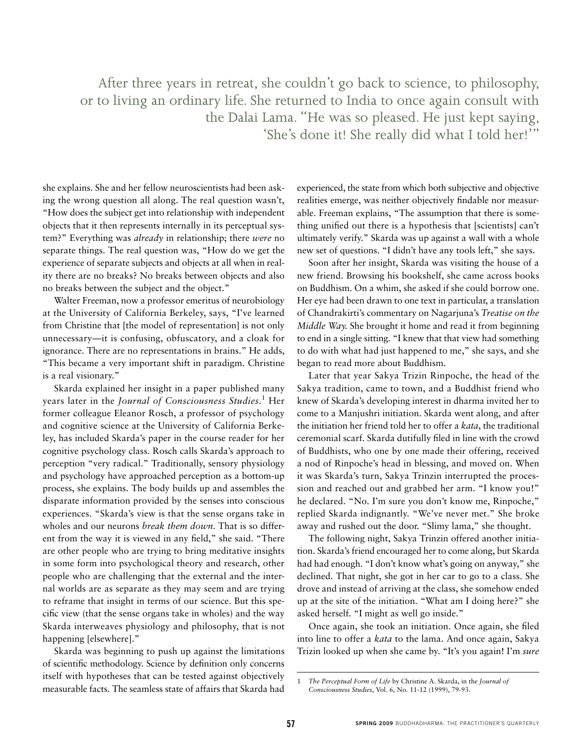After three years in retreat, she couldn't go back to science, to philosophy, or to living an ordinary life. She returned to India to once again consult with the Dalai Lama. "He was so pleased. He just kept saying, 'She's done it! She really did what I told her!'"

she explains. She and her fellow neuroscientists had been asking the wrong question all along. The real question wasn't, "How does the subject get into relationship with independent objects that it then represents internally in its perceptual system?" Everything was *already* in relationship; there *were* no separate things. The real question was, "How do we get the experience of separate subjects and objects at all when in reality there are no breaks? No breaks between objects and also no breaks between the subject and the object."

Walter Freeman, now a professor emeritus of neurobiology at the University of California Berkeley, says, "I've learned from Christine that [the model of representation] is not only unnecessary—it is confusing, obfuscatory, and a cloak for ignorance. There are no representations in brains." He adds, "This became a very important shift in paradigm. Christine is a real visionary."

Skarda explained her insight in a paper published many years later in the *Journal of Consciousness Studies*. 1 Her former colleague Eleanor Rosch, a professor of psychology and cognitive science at the University of California Berkeley, has included Skarda's paper in the course reader for her cognitive psychology class. Rosch calls Skarda's approach to perception "very radical." Traditionally, sensory physiology and psychology have approached perception as a bottom-up process, she explains. The body builds up and assembles the disparate information provided by the senses into conscious experiences. "Skarda's view is that the sense organs take in wholes and our neurons *break them down*. That is so different from the way it is viewed in any field," she said. "There are other people who are trying to bring meditative insights in some form into psychological theory and research, other people who are challenging that the external and the internal worlds are as separate as they may seem and are trying to reframe that insight in terms of our science. But this specific view (that the sense organs take in wholes) and the way Skarda interweaves physiology and philosophy, that is not happening [elsewhere]."

Skarda was beginning to push up against the limitations of scientific methodology. Science by definition only concerns itself with hypotheses that can be tested against objectively measurable facts. The seamless state of affairs that Skarda had

experienced, the state from which both subjective and objective realities emerge, was neither objectively findable nor measurable. Freeman explains, "The assumption that there is something unified out there is a hypothesis that [scientists] can't ultimately verify." Skarda was up against a wall with a whole new set of questions. "I didn't have any tools left," she says.

Soon after her insight, Skarda was visiting the house of a new friend. Browsing his bookshelf, she came across books on Buddhism. On a whim, she asked if she could borrow one. Her eye had been drawn to one text in particular, a translation of Chandrakirti's commentary on Nagarjuna's *Treatise on the Middle Way.* She brought it home and read it from beginning to end in a single sitting. "I knew that that view had something to do with what had just happened to me," she says, and she began to read more about Buddhism.

Later that year Sakya Trizin Rinpoche, the head of the Sakya tradition, came to town, and a Buddhist friend who knew of Skarda's developing interest in dharma invited her to come to a Manjushri initiation. Skarda went along, and after the initiation her friend told her to offer a *kata*, the traditional ceremonial scarf. Skarda dutifully filed in line with the crowd of Buddhists, who one by one made their offering, received a nod of Rinpoche's head in blessing, and moved on. When it was Skarda's turn, Sakya Trinzin interrupted the procession and reached out and grabbed her arm. "I know you!" he declared. "No. I'm sure you don't know me, Rinpoche," replied Skarda indignantly. "We've never met." She broke away and rushed out the door. "Slimy lama," she thought.

The following night, Sakya Trinzin offered another initiation. Skarda's friend encouraged her to come along, but Skarda had had enough. "I don't know what's going on anyway," she declined. That night, she got in her car to go to a class. She drove and instead of arriving at the class, she somehow ended up at the site of the initiation. "What am I doing here?" she asked herself. "I might as well go inside."

Once again, she took an initiation. Once again, she filed into line to offer a *kata* to the lama. And once again, Sakya Trizin looked up when she came by. "It's you again! I'm *sure*

<sup>1</sup> *The Perceptual Form of Life* by Christine A. Skarda, in the *Journal of Consciousness Studies*, Vol. 6, No. 11-12 (1999), 79-93.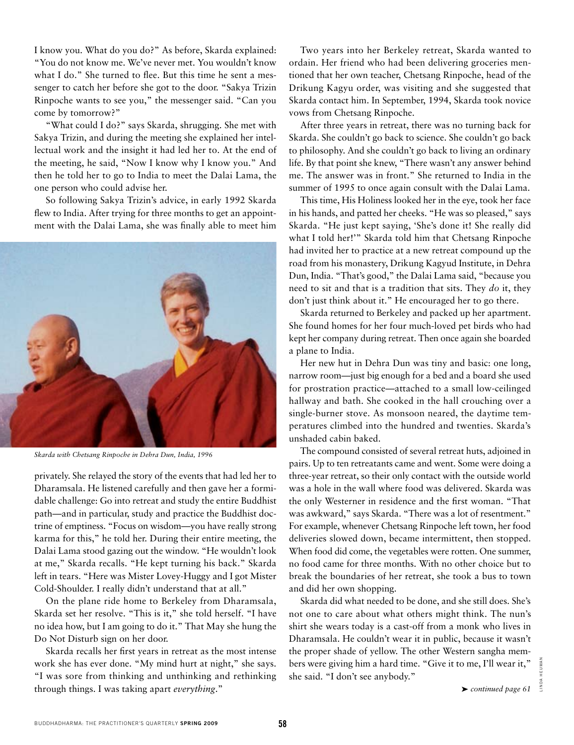I know you. What do you do?" As before, Skarda explained: "You do not know me. We've never met. You wouldn't know what I do." She turned to flee. But this time he sent a messenger to catch her before she got to the door. "Sakya Trizin Rinpoche wants to see you," the messenger said. "Can you come by tomorrow?"

"What could I do?" says Skarda, shrugging. She met with Sakya Trizin, and during the meeting she explained her intellectual work and the insight it had led her to. At the end of the meeting, he said, "Now I know why I know you." And then he told her to go to India to meet the Dalai Lama, the one person who could advise her.

So following Sakya Trizin's advice, in early 1992 Skarda flew to India. After trying for three months to get an appointment with the Dalai Lama, she was finally able to meet him



*Skarda with Chetsang Rinpoche in Dehra Dun, India, 1996*

privately. She relayed the story of the events that had led her to Dharamsala. He listened carefully and then gave her a formidable challenge: Go into retreat and study the entire Buddhist path—and in particular, study and practice the Buddhist doctrine of emptiness. "Focus on wisdom—you have really strong karma for this," he told her. During their entire meeting, the Dalai Lama stood gazing out the window. "He wouldn't look at me," Skarda recalls. "He kept turning his back." Skarda left in tears. "Here was Mister Lovey-Huggy and I got Mister Cold-Shoulder. I really didn't understand that at all."

On the plane ride home to Berkeley from Dharamsala, Skarda set her resolve. "This is it," she told herself. "I have no idea how, but I am going to do it." That May she hung the Do Not Disturb sign on her door.

Skarda recalls her first years in retreat as the most intense work she has ever done. "My mind hurt at night," she says. "I was sore from thinking and unthinking and rethinking through things. I was taking apart *everything*."

Two years into her Berkeley retreat, Skarda wanted to ordain. Her friend who had been delivering groceries mentioned that her own teacher, Chetsang Rinpoche, head of the Drikung Kagyu order, was visiting and she suggested that Skarda contact him. In September, 1994, Skarda took novice vows from Chetsang Rinpoche.

After three years in retreat, there was no turning back for Skarda. She couldn't go back to science. She couldn't go back to philosophy. And she couldn't go back to living an ordinary life. By that point she knew, "There wasn't any answer behind me. The answer was in front." She returned to India in the summer of 1995 to once again consult with the Dalai Lama.

This time, His Holiness looked her in the eye, took her face in his hands, and patted her cheeks. "He was so pleased," says Skarda. "He just kept saying, 'She's done it! She really did what I told her!'" Skarda told him that Chetsang Rinpoche had invited her to practice at a new retreat compound up the road from his monastery, Drikung Kagyud Institute, in Dehra Dun, India. "That's good," the Dalai Lama said, "because you need to sit and that is a tradition that sits. They *do* it, they don't just think about it." He encouraged her to go there.

Skarda returned to Berkeley and packed up her apartment. She found homes for her four much-loved pet birds who had kept her company during retreat. Then once again she boarded a plane to India.

Her new hut in Dehra Dun was tiny and basic: one long, narrow room—just big enough for a bed and a board she used for prostration practice—attached to a small low-ceilinged hallway and bath. She cooked in the hall crouching over a single-burner stove. As monsoon neared, the daytime temperatures climbed into the hundred and twenties. Skarda's unshaded cabin baked.

The compound consisted of several retreat huts, adjoined in pairs. Up to ten retreatants came and went. Some were doing a three-year retreat, so their only contact with the outside world was a hole in the wall where food was delivered. Skarda was the only Westerner in residence and the first woman. "That was awkward," says Skarda. "There was a lot of resentment." For example, whenever Chetsang Rinpoche left town, her food deliveries slowed down, became intermittent, then stopped. When food did come, the vegetables were rotten. One summer, no food came for three months. With no other choice but to break the boundaries of her retreat, she took a bus to town and did her own shopping.

Skarda did what needed to be done, and she still does. She's not one to care about what others might think. The nun's shirt she wears today is a cast-off from a monk who lives in Dharamsala. He couldn't wear it in public, because it wasn't the proper shade of yellow. The other Western sangha members were giving him a hard time. "Give it to me, I'll wear it," she said. "I don't see anybody."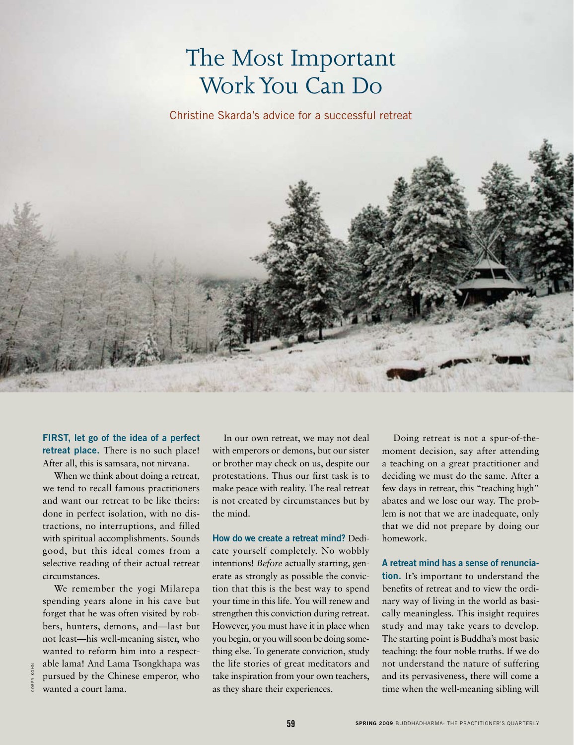## The Most Important Work You Can Do

Christine Skarda's advice for a successful retreat



**First, let go of the idea of a perfect retreat place.** There is no such place! After all, this is samsara, not nirvana.

When we think about doing a retreat, we tend to recall famous practitioners and want our retreat to be like theirs: done in perfect isolation, with no distractions, no interruptions, and filled with spiritual accomplishments. Sounds good, but this ideal comes from a selective reading of their actual retreat circumstances.

We remember the yogi Milarepa spending years alone in his cave but forget that he was often visited by robbers, hunters, demons, and—last but not least—his well-meaning sister, who wanted to reform him into a respectable lama! And Lama Tsongkhapa was pursued by the Chinese emperor, who wanted a court lama.

In our own retreat, we may not deal with emperors or demons, but our sister or brother may check on us, despite our protestations. Thus our first task is to make peace with reality. The real retreat is not created by circumstances but by the mind.

**How do we create a retreat mind?** Dedicate yourself completely. No wobbly intentions! *Before* actually starting, generate as strongly as possible the conviction that this is the best way to spend your time in this life. You will renew and strengthen this conviction during retreat. However, you must have it in place when you begin, or you will soon be doing something else. To generate conviction, study the life stories of great meditators and take inspiration from your own teachers, as they share their experiences.

Doing retreat is not a spur-of-themoment decision, say after attending a teaching on a great practitioner and deciding we must do the same. After a few days in retreat, this "teaching high" abates and we lose our way. The problem is not that we are inadequate, only that we did not prepare by doing our homework.

**A retreat mind has a sense of renunciation.** It's important to understand the benefits of retreat and to view the ordinary way of living in the world as basically meaningless. This insight requires study and may take years to develop. The starting point is Buddha's most basic teaching: the four noble truths. If we do not understand the nature of suffering and its pervasiveness, there will come a time when the well-meaning sibling will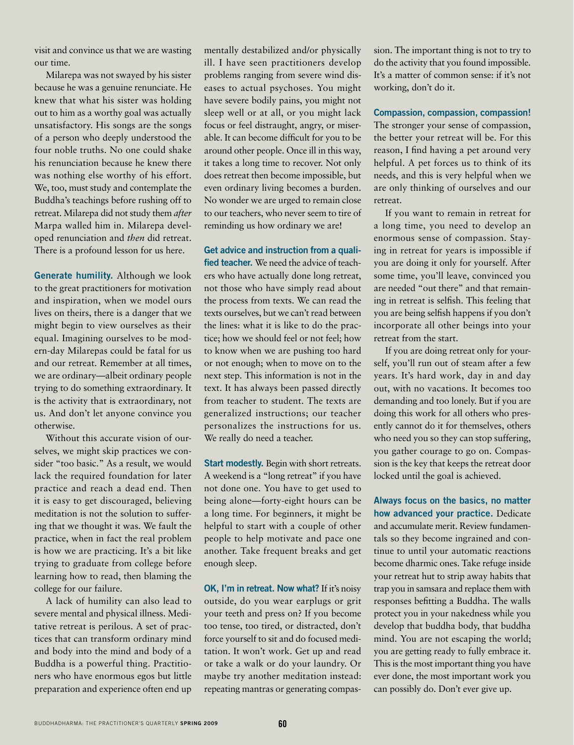visit and convince us that we are wasting our time.

Milarepa was not swayed by his sister because he was a genuine renunciate. He knew that what his sister was holding out to him as a worthy goal was actually unsatisfactory. His songs are the songs of a person who deeply understood the four noble truths. No one could shake his renunciation because he knew there was nothing else worthy of his effort. We, too, must study and contemplate the Buddha's teachings before rushing off to retreat. Milarepa did not study them *after*  Marpa walled him in. Milarepa developed renunciation and *then* did retreat. There is a profound lesson for us here.

**Generate humility.** Although we look to the great practitioners for motivation and inspiration, when we model ours lives on theirs, there is a danger that we might begin to view ourselves as their equal. Imagining ourselves to be modern-day Milarepas could be fatal for us and our retreat. Remember at all times, we are ordinary—albeit ordinary people trying to do something extraordinary. It is the activity that is extraordinary, not us. And don't let anyone convince you otherwise.

Without this accurate vision of ourselves, we might skip practices we consider "too basic." As a result, we would lack the required foundation for later practice and reach a dead end. Then it is easy to get discouraged, believing meditation is not the solution to suffering that we thought it was. We fault the practice, when in fact the real problem is how we are practicing. It's a bit like trying to graduate from college before learning how to read, then blaming the college for our failure.

A lack of humility can also lead to severe mental and physical illness. Meditative retreat is perilous. A set of practices that can transform ordinary mind and body into the mind and body of a Buddha is a powerful thing. Practitioners who have enormous egos but little preparation and experience often end up mentally destabilized and/or physically ill. I have seen practitioners develop problems ranging from severe wind diseases to actual psychoses. You might have severe bodily pains, you might not sleep well or at all, or you might lack focus or feel distraught, angry, or miserable. It can become difficult for you to be around other people. Once ill in this way, it takes a long time to recover. Not only does retreat then become impossible, but even ordinary living becomes a burden. No wonder we are urged to remain close to our teachers, who never seem to tire of reminding us how ordinary we are!

**Get advice and instruction from a qualified teacher.** We need the advice of teachers who have actually done long retreat, not those who have simply read about the process from texts. We can read the texts ourselves, but we can't read between the lines: what it is like to do the practice; how we should feel or not feel; how to know when we are pushing too hard or not enough; when to move on to the next step. This information is not in the text. It has always been passed directly from teacher to student. The texts are generalized instructions; our teacher personalizes the instructions for us. We really do need a teacher.

**Start modestly.** Begin with short retreats. A weekend is a "long retreat" if you have not done one. You have to get used to being alone—forty-eight hours can be a long time. For beginners, it might be helpful to start with a couple of other people to help motivate and pace one another. Take frequent breaks and get enough sleep.

**OK, I'm in retreat. Now what?** If it's noisy outside, do you wear earplugs or grit your teeth and press on? If you become too tense, too tired, or distracted, don't force yourself to sit and do focused meditation. It won't work. Get up and read or take a walk or do your laundry. Or maybe try another meditation instead: repeating mantras or generating compas-

sion. The important thing is not to try to do the activity that you found impossible. It's a matter of common sense: if it's not working, don't do it.

**Compassion, compassion, compassion!** 

The stronger your sense of compassion, the better your retreat will be. For this reason, I find having a pet around very helpful. A pet forces us to think of its needs, and this is very helpful when we are only thinking of ourselves and our retreat.

If you want to remain in retreat for a long time, you need to develop an enormous sense of compassion. Staying in retreat for years is impossible if you are doing it only for yourself. After some time, you'll leave, convinced you are needed "out there" and that remaining in retreat is selfish. This feeling that you are being selfish happens if you don't incorporate all other beings into your retreat from the start.

If you are doing retreat only for yourself, you'll run out of steam after a few years. It's hard work, day in and day out, with no vacations. It becomes too demanding and too lonely. But if you are doing this work for all others who presently cannot do it for themselves, others who need you so they can stop suffering, you gather courage to go on. Compassion is the key that keeps the retreat door locked until the goal is achieved.

**Always focus on the basics, no matter how advanced your practice.** Dedicate and accumulate merit. Review fundamentals so they become ingrained and continue to until your automatic reactions become dharmic ones. Take refuge inside your retreat hut to strip away habits that trap you in samsara and replace them with responses befitting a Buddha. The walls protect you in your nakedness while you develop that buddha body, that buddha mind. You are not escaping the world; you are getting ready to fully embrace it. This is the most important thing you have ever done, the most important work you can possibly do. Don't ever give up.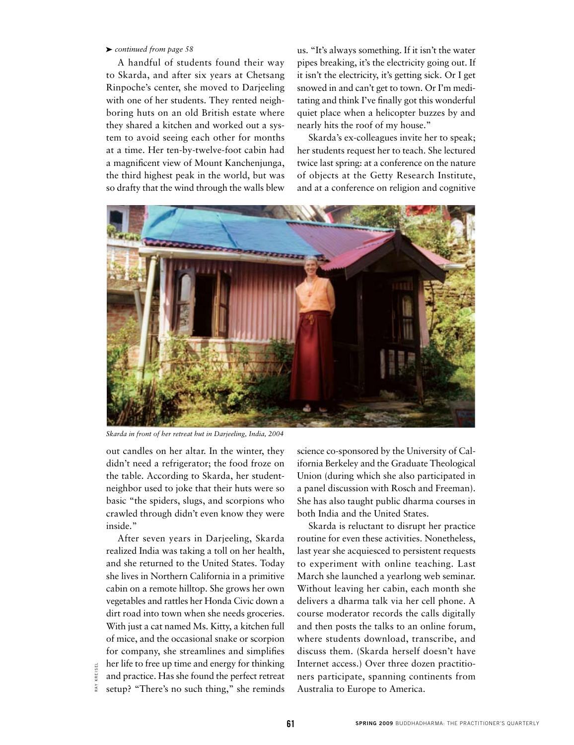## ➤ *continued from page 58*

A handful of students found their way to Skarda, and after six years at Chetsang Rinpoche's center, she moved to Darjeeling with one of her students. They rented neighboring huts on an old British estate where they shared a kitchen and worked out a system to avoid seeing each other for months at a time. Her ten-by-twelve-foot cabin had a magnificent view of Mount Kanchenjunga, the third highest peak in the world, but was so drafty that the wind through the walls blew

us. "It's always something. If it isn't the water pipes breaking, it's the electricity going out. If it isn't the electricity, it's getting sick. Or I get snowed in and can't get to town. Or I'm meditating and think I've finally got this wonderful quiet place when a helicopter buzzes by and nearly hits the roof of my house."

Skarda's ex-colleagues invite her to speak; her students request her to teach. She lectured twice last spring: at a conference on the nature of objects at the Getty Research Institute, and at a conference on religion and cognitive



*Skarda in front of her retreat hut in Darjeeling, India, 2004*

out candles on her altar. In the winter, they didn't need a refrigerator; the food froze on the table. According to Skarda, her studentneighbor used to joke that their huts were so basic "the spiders, slugs, and scorpions who crawled through didn't even know they were inside."

After seven years in Darjeeling, Skarda realized India was taking a toll on her health, and she returned to the United States. Today she lives in Northern California in a primitive cabin on a remote hilltop. She grows her own vegetables and rattles her Honda Civic down a dirt road into town when she needs groceries. With just a cat named Ms. Kitty, a kitchen full of mice, and the occasional snake or scorpion for company, she streamlines and simplifies her life to free up time and energy for thinking and practice. Has she found the perfect retreat setup? "There's no such thing," she reminds

science co-sponsored by the University of California Berkeley and the Graduate Theological Union (during which she also participated in a panel discussion with Rosch and Freeman). She has also taught public dharma courses in both India and the United States.

Skarda is reluctant to disrupt her practice routine for even these activities. Nonetheless, last year she acquiesced to persistent requests to experiment with online teaching. Last March she launched a yearlong web seminar. Without leaving her cabin, each month she delivers a dharma talk via her cell phone. A course moderator records the calls digitally and then posts the talks to an online forum, where students download, transcribe, and discuss them. (Skarda herself doesn't have Internet access.) Over three dozen practitioners participate, spanning continents from Australia to Europe to America.